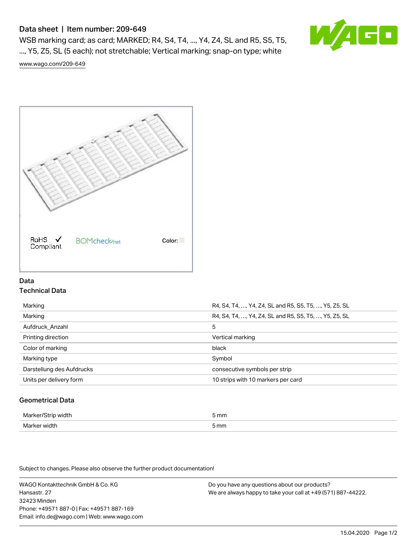# Data sheet | Item number: 209-649

WSB marking card; as card; MARKED; R4, S4, T4, ..., Y4, Z4, SL and R5, S5, T5, ..., Y5, Z5, SL (5 each); not stretchable; Vertical marking; snap-on type; white



[www.wago.com/209-649](http://www.wago.com/209-649)



## Data Technical Data

| Marking                   | R4, S4, T4, , Y4, Z4, SL and R5, S5, T5, , Y5, Z5, SL |
|---------------------------|-------------------------------------------------------|
| Marking                   | R4, S4, T4, , Y4, Z4, SL and R5, S5, T5, , Y5, Z5, SL |
| Aufdruck Anzahl           | 5                                                     |
| Printing direction        | Vertical marking                                      |
| Color of marking          | black                                                 |
|                           |                                                       |
| Marking type              | Symbol                                                |
| Darstellung des Aufdrucks | consecutive symbols per strip                         |
| Units per delivery form   | 10 strips with 10 markers per card                    |

## Geometrical Data

| Mark<br>ᅯᆃᅛ<br>άū    | 5 mm |
|----------------------|------|
| Mar<br>νιατι<br>$ -$ | 5 mm |

Subject to changes. Please also observe the further product documentation!

WAGO Kontakttechnik GmbH & Co. KG Hansastr. 27 32423 Minden Phone: +49571 887-0 | Fax: +49571 887-169 Email: info.de@wago.com | Web: www.wago.com Do you have any questions about our products? We are always happy to take your call at +49 (571) 887-44222.